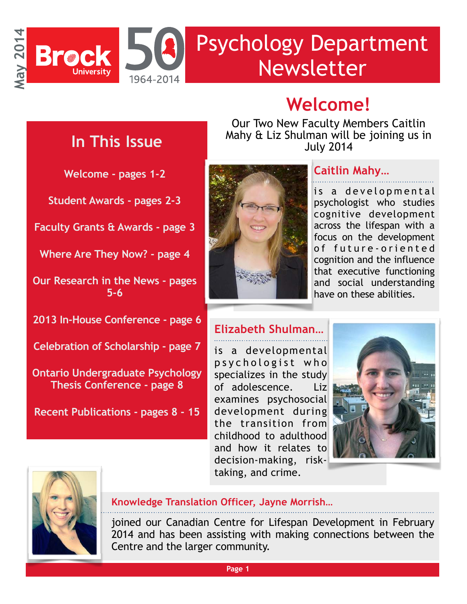

# **Welcome!**

## **In This Issue**

**Welcome - pages 1-2** 

**Student Awards - pages 2-3** 

**Faculty Grants & Awards - page 3** 

**Where Are They Now? - page 4** 

**Our Research in the News - pages 5-6** 

**2013 In-House Conference - page 6** 

**Celebration of Scholarship - page 7** 

**Ontario Undergraduate Psychology Thesis Conference - page 8** 

**Recent Publications - pages 8 - 15**

Our Two New Faculty Members Caitlin Mahy & Liz Shulman will be joining us in July 2014



#### **Caitlin Mahy…**

is a developmental psychologist who studies cognitive development across the lifespan with a focus on the development of future-oriented cognition and the influence that executive functioning and social understanding have on these abilities.

#### **Elizabeth Shulman…**

is a developmental p s y c h o l o g i s t w h o specializes in the study of adolescence. Liz examines psychosocial development during the transition from childhood to adulthood and how it relates to decision-making, risktaking, and crime.





#### **Knowledge Translation Officer, Jayne Morrish…**

joined our Canadian Centre for Lifespan Development in February 2014 and has been assisting with making connections between the Centre and the larger community.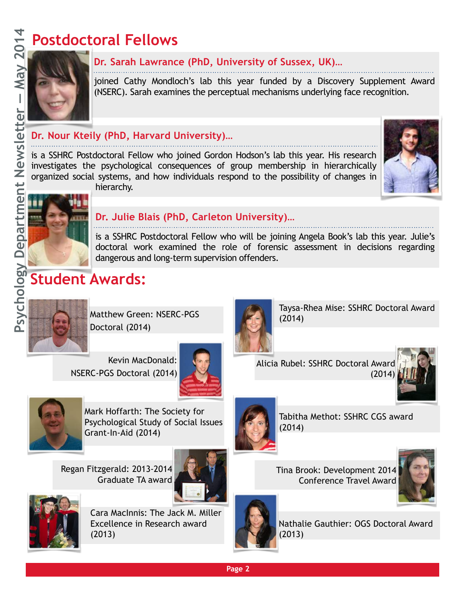# **Postdoctoral Fellows**



#### **Dr. Sarah Lawrance (PhD, University of Sussex, UK)…**

joined Cathy Mondloch's lab this year funded by a Discovery Supplement Award (NSERC). Sarah examines the perceptual mechanisms underlying face recognition.

#### **Dr. Nour Kteily (PhD, Harvard University)…**

is a SSHRC Postdoctoral Fellow who joined Gordon Hodson's lab this year. His research investigates the psychological consequences of group membership in hierarchically organized social systems, and how individuals respond to the possibility of changes in hierarchy.





#### **Dr. Julie Blais (PhD, Carleton University)…**

is a SSHRC Postdoctoral Fellow who will be joining Angela Book's lab this year. Julie's doctoral work examined the role of forensic assessment in decisions regarding dangerous and long-term supervision offenders.

## **Student Awards:**



Matthew Green: NSERC-PGS Doctoral (2014)

Kevin MacDonald: NSERC-PGS Doctoral (2014)





Mark Hoffarth: The Society for Psychological Study of Social Issues Grant-In-Aid (2014)

Regan Fitzgerald: 2013-2014 Graduate TA award





Cara MacInnis: The Jack M. Miller Excellence in Research award (2013)



Tabitha Methot: SSHRC CGS award (2014)

Taysa-Rhea Mise: SSHRC Doctoral Award

Tina Brook: Development 2014 Conference Travel Award





Nathalie Gauthier: OGS Doctoral Award (2013)

(2014)



**Page 2**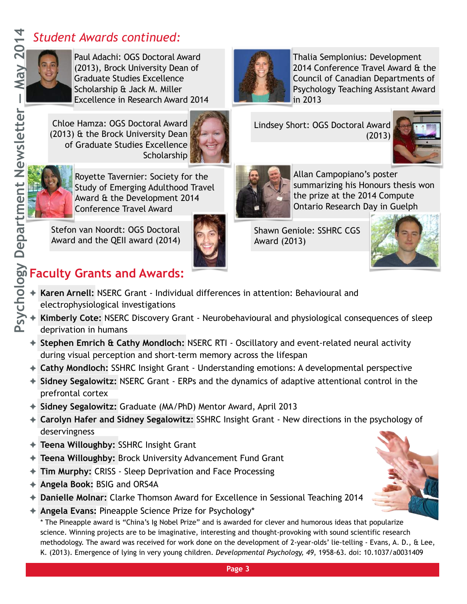## *Student Awards continued:*

Paul Adachi: OGS Doctoral Award (2013), Brock University Dean of Graduate Studies Excellence Scholarship & Jack M. Miller Excellence in Research Award 2014

Chloe Hamza: OGS Doctoral Award (2013) & the Brock University Dean of Graduate Studies Excellence Scholarship



Royette Tavernier: Society for the Study of Emerging Adulthood Travel Award & the Development 2014 Conference Travel Award

Stefon van Noordt: OGS Doctoral Award and the QEII award (2014)



Shawn Geniole: SSHRC CGS Award (2013)



## **Faculty Grants and Awards:**

- ✦ **Karen Arnell:** NSERC Grant Individual differences in attention: Behavioural and electrophysiological investigations
- ✦ **Kimberly Cote:** NSERC Discovery Grant Neurobehavioural and physiological consequences of sleep deprivation in humans
- ✦ **Stephen Emrich & Cathy Mondloch:** NSERC RTI Oscillatory and event-related neural activity during visual perception and short-term memory across the lifespan
- ✦ **Cathy Mondloch:** SSHRC Insight Grant Understanding emotions: A developmental perspective
- ✦ **Sidney Segalowitz:** NSERC Grant ERPs and the dynamics of adaptive attentional control in the prefrontal cortex
- ✦ **Sidney Segalowitz:** Graduate (MA/PhD) Mentor Award, April 2013
- ✦ **Carolyn Hafer and Sidney Segalowitz:** SSHRC Insight Grant New directions in the psychology of deservingness
- ✦ **Teena Willoughby:** SSHRC Insight Grant
- ✦ **Teena Willoughby:** Brock University Advancement Fund Grant
- ✦ **Tim Murphy:** CRISS Sleep Deprivation and Face Processing
- ✦ **Angela Book:** BSIG and ORS4A
- ✦ **Danielle Molnar:** Clarke Thomson Award for Excellence in Sessional Teaching 2014
- ✦ **Angela Evans:** Pineapple Science Prize for Psychology\*

\* The Pineapple award is "China's Ig Nobel Prize" and is awarded for clever and humorous ideas that popularize science. Winning projects are to be imaginative, interesting and thought-provoking with sound scientific research methodology. The award was received for work done on the development of 2-year-olds' lie-telling - Evans, A. D., & Lee, K. (2013). Emergence of lying in very young children. *Developmental Psychology, 49*, 1958-63. doi: 10.1037/a0031409



**Page 3**

Lindsey Short: OGS Doctoral Award

in 2013

Thalia Semplonius: Development 2014 Conference Travel Award & the Council of Canadian Departments of Psychology Teaching Assistant Award

Allan Campopiano's poster

summarizing his Honours thesis won the prize at the 2014 Compute

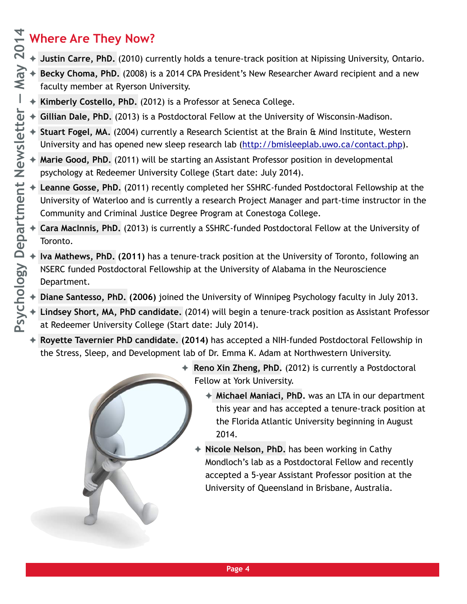# **Where Are They Now?**

- ✦ **Justin Carre, PhD.** (2010) currently holds a tenure-track position at Nipissing University, Ontario.
- ✦ **Becky Choma, PhD.** (2008) is a 2014 CPA President's New Researcher Award recipient and a new faculty member at Ryerson University.
- ✦ **Kimberly Costello, PhD.** (2012) is a Professor at Seneca College.
- ✦ **Gillian Dale, PhD.** (2013) is a Postdoctoral Fellow at the University of Wisconsin-Madison.
- ✦ **Stuart Fogel, MA.** (2004) currently a Research Scientist at the Brain & Mind Institute, Western University and has opened new sleep research lab ([http://bmisleeplab.uwo.ca/contact.php\)](http://bmisleeplab.uwo.ca/contact.php).
- ✦ **Marie Good, PhD.** (2011) will be starting an Assistant Professor position in developmental psychology at Redeemer University College (Start date: July 2014).
- ✦ **Leanne Gosse, PhD.** (2011) recently completed her SSHRC-funded Postdoctoral Fellowship at the University of Waterloo and is currently a research Project Manager and part-time instructor in the Community and Criminal Justice Degree Program at Conestoga College.
- ✦ **Cara MacInnis, PhD.** (2013) is currently a SSHRC-funded Postdoctoral Fellow at the University of Toronto.
- **Iva Mathews, PhD. (2011)** has a tenure-track position at the University of Toronto, following an NSERC funded Postdoctoral Fellowship at the University of Alabama in the Neuroscience Department.
- ✦ **Diane Santesso, PhD. (2006)** joined the University of Winnipeg Psychology faculty in July 2013.
- ✦ **Lindsey Short, MA, PhD candidate.** (2014) will begin a tenure-track position as Assistant Professor at Redeemer University College (Start date: July 2014).
- ✦ **Royette Tavernier PhD candidate. (2014)** has accepted a NIH-funded Postdoctoral Fellowship in the Stress, Sleep, and Development lab of Dr. Emma K. Adam at Northwestern University.
	- ✦ **Reno Xin Zheng, PhD.** (2012) is currently a Postdoctoral Fellow at York University.
		- ✦ **Michael Maniaci, PhD.** was an LTA in our department this year and has accepted a tenure-track position at the Florida Atlantic University beginning in August 2014.
		- Nicole Nelson, PhD. has been working in Cathy Mondloch's lab as a Postdoctoral Fellow and recently accepted a 5-year Assistant Professor position at the University of Queensland in Brisbane, Australia.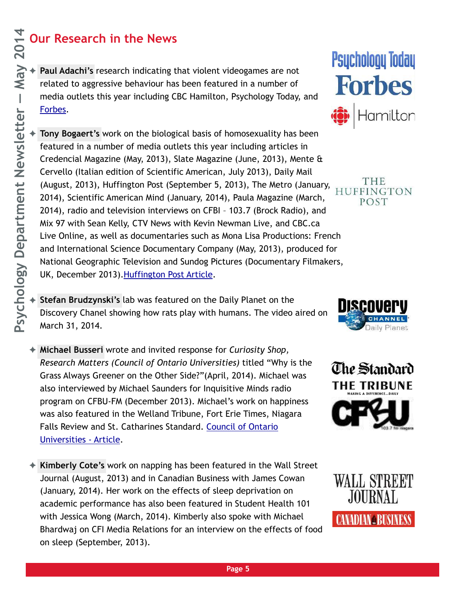## **Our Research in the News**

Paul Adachi's research indicating that violent videogames are not related to aggressive behaviour has been featured in a number of media outlets this year including CBC Hamilton, Psychology Today, and [Forbes](http://forbes.com).

Tony Bogaert's work on the biological basis of homosexuality has been featured in a number of media outlets this year including articles in Credencial Magazine (May, 2013), Slate Magazine (June, 2013), Mente & Cervello (Italian edition of Scientific American, July 2013), Daily Mail (August, 2013), Huffington Post (September 5, 2013), The Metro (January, 2014), Scientific American Mind (January, 2014), Paula Magazine (March, 2014), radio and television interviews on CFBI – 103.7 (Brock Radio), and Mix 97 with Sean Kelly, CTV News with Kevin Newman Live, and CBC.ca Live Online, as well as documentaries such as Mona Lisa Productions: French and International Science Documentary Company (May, 2013), produced for National Geographic Television and Sundog Pictures (Documentary Filmakers, UK, December 2013)[.Huffington Post Article.](http://www.huffingtonpost.com/2013/09/05/men-older-brothers-gay_n_3873772.html?utm_hp_ref=science&ir=Science)

- **Stefan Brudzynski's** lab was featured on the Daily Planet on the Discovery Chanel showing how rats play with humans. The video aired on March 31, 2014.
- ✦ **Michael Busseri** wrote and invited response for *Curiosity Shop, Research Matters (Council of Ontario Universities)* titled "Why is the Grass Always Greener on the Other Side?"(April, 2014). Michael was also interviewed by Michael Saunders for Inquisitive Minds radio program on CFBU-FM (December 2013). Michael's work on happiness was also featured in the Welland Tribune, Fort Erie Times, Niagara [Falls Review and St. Catharines Standard. Council of Ontario](http://yourontarioresearch.ca/curiosity-shop-answers/why-is-the-grass-always-greener-on-the-other-side/)  Universities - Article.
- ✦ **Kimberly Cote's** work on napping has been featured in the Wall Street Journal (August, 2013) and in Canadian Business with James Cowan (January, 2014). Her work on the effects of sleep deprivation on academic performance has also been featured in Student Health 101 with Jessica Wong (March, 2014). Kimberly also spoke with Michael Bhardwaj on CFI Media Relations for an interview on the effects of food on sleep (September, 2013).



THE HUFFINGTON POST





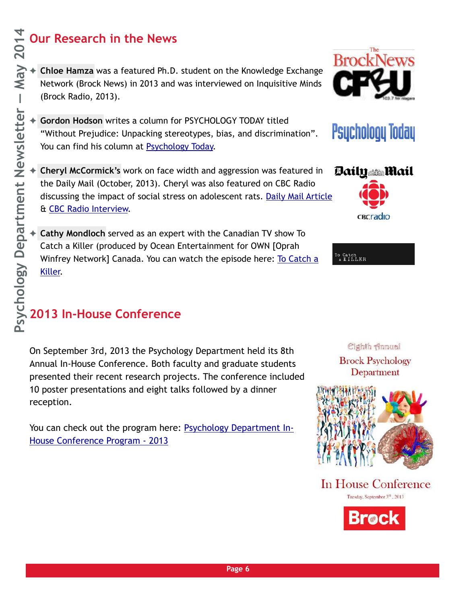## **Our Research in the News**

- ✦ **Chloe Hamza** was a featured Ph.D. student on the Knowledge Exchange Network (Brock News) in 2013 and was interviewed on Inquisitive Minds (Brock Radio, 2013).
- ✦ **Gordon Hodson** writes a column for PSYCHOLOGY TODAY titled "Without Prejudice: Unpacking stereotypes, bias, and discrimination". You can find his column at [Psychology Today](http://bit.ly/QMob0N).
- ✦ **Cheryl McCormick's** work on face width and aggression was featured in the Daily Mail (October, 2013). Cheryl was also featured on CBC Radio discussing the impact of social stress on adolescent rats. [Daily Mail Article](http://www.dailymail.co.uk/news/article-2467106/Why-trust-wide-boys-Men-broad-faces-like-North-Korean-leader-likely-cheat-partners-lie.html) & [CBC Radio Interview.](http://www.cbc.ca/pointsnorth/episodes/2014/02/28/teenage-rats-struggle-with-stressors/)
- ✦ **Cathy Mondloch** served as an expert with the Canadian TV show To Catch a Killer (produced by Ocean Entertainment for OWN [Oprah Winfrey Network] Canada. You can watch the episode here: To Catch a Killer.

# **2013 In-House Conference**

On September 3rd, 2013 the Psychology Department held its 8th Annual In-House Conference. Both faculty and graduate students presented their recent research projects. The conference included 10 poster presentations and eight talks followed by a dinner reception.

[You can check out the program here: Psychology Department In-](http://brocku.ca/webfm_send/28016)House Conference Program - 2013



» Catch<br>a KILLER



Cighth Annual



In House Conference





**Psychology Today**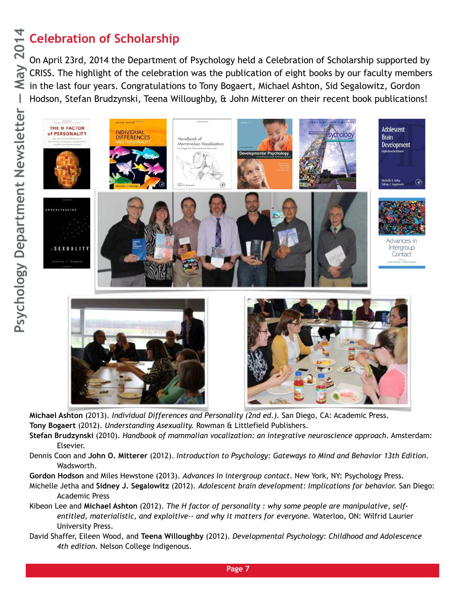# Celebration of Scholarship<br>  $Q_{\text{on April 23rd. 2014} }$  the Department

On April 23rd, 2014 the Department of Psychology held a Celebration of Scholarship supported by CRISS. The highlight of the celebration was the publication of eight books by our faculty members  $\leq$  in the last four years. Congratulations to Tony Bogaert, Michael Ashton, Sid Segalowitz, Gordon Hodson, Stefan Brudzynski, Teena Willoughby, & John Mitterer on their recent book publications!



**Michael Ashton** (2013). *Individual Differences and Personality (2nd ed.).* San Diego, CA: Academic Press. **Tony Bogaert** (2012). *Understanding Asexuality.* Rowman & Littlefield Publishers.

- **Stefan Brudzynski** (2010). *Handbook of mammalian vocalization: an integrative neuroscience approach*. Amsterdam: Elsevier.
- Dennis Coon and **John O. Mitterer** (2012). *Introduction to Psychology: Gateways to Mind and Behavior 13th Edition.* Wadsworth.
- **Gordon Hodson** and Miles Hewstone (2013). *Advances in intergroup contact*. New York, NY: Psychology Press.
- Michelle Jetha and **Sidney J. Segalowitz** (2012). *Adolescent brain development: Implications for behavior.* San Diego: Academic Press
- Kibeon Lee and **Michael Ashton** (2012). *The H factor of personality : why some people are manipulative, self entitled, materialistic, and exploitive-- and why it matters for everyone.* Waterloo, ON: Wilfrid Laurier University Press.
- David Shaffer, Eileen Wood, and **Teena Willoughby** (2012). *Developmental Psychology: Childhood and Adolescence 4th edition.* Nelson College Indigenous.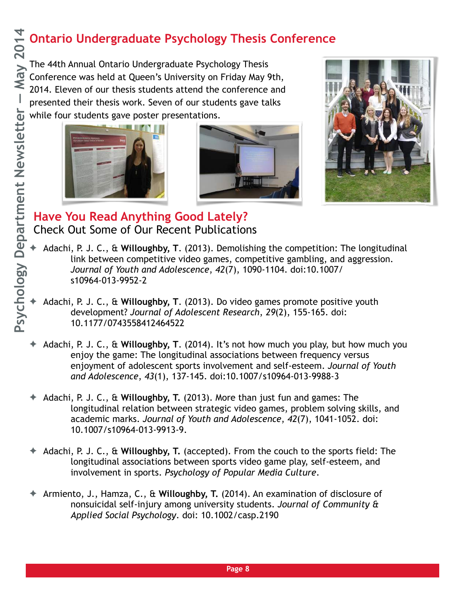## **Ontario Undergraduate Psychology Thesis Conference**

The 44th Annual Ontario Undergraduate Psychology Thesis Conference was held at Queen's University on Friday May 9th, 2014. Eleven of our thesis students attend the conference and presented their thesis work. Seven of our students gave talks while four students gave poster presentations.







#### **Have You Read Anything Good Lately?**  Check Out Some of Our Recent Publications

- ✦ Adachi, P. J. C., & **Willoughby, T**. (2013). Demolishing the competition: The longitudinal link between competitive video games, competitive gambling, and aggression. *Journal of Youth and Adolescence*, *42*(7), 1090-1104. doi:10.1007/ s10964-013-9952-2
- ✦ Adachi, P. J. C., & **Willoughby, T**. (2013). Do video games promote positive youth development? *Journal of Adolescent Research*, *29*(2), 155-165. doi: 10.1177/0743558412464522
- ✦ Adachi, P. J. C., & **Willoughby, T**. (2014). It's not how much you play, but how much you enjoy the game: The longitudinal associations between frequency versus enjoyment of adolescent sports involvement and self-esteem. *Journal of Youth and Adolescence*, *43*(1), 137-145. doi:10.1007/s10964-013-9988-3
- ✦ Adachi, P. J. C., & **Willoughby, T.** (2013). More than just fun and games: The longitudinal relation between strategic video games, problem solving skills, and academic marks. *Journal of Youth and Adolescence*, *42*(7), 1041-1052. doi: 10.1007/s10964-013-9913-9.
- ✦ Adachi, P. J. C., & **Willoughby, T.** (accepted). From the couch to the sports field: The longitudinal associations between sports video game play, self-esteem, and involvement in sports. *Psychology of Popular Media Culture*.
- ✦ Armiento, J., Hamza, C., & **Willoughby, T.** (2014). An examination of disclosure of nonsuicidal self-injury among university students. *Journal of Community & Applied Social Psychology*. doi: 10.1002/casp.2190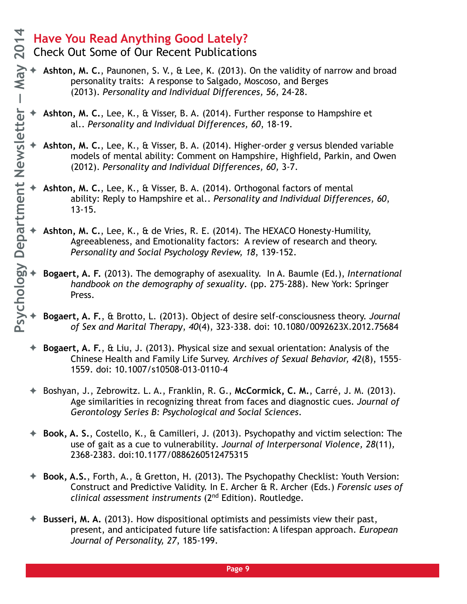- Check Out Some of Our Recent Publications
- ✦ **Ashton, M. C.**, Paunonen, S. V., & Lee, K. (2013). On the validity of narrow and broad personality traits: A response to Salgado, Moscoso, and Berges (2013). *Personality and Individual Differences, 56*, 24-28.
- ✦ **Ashton, M. C.**, Lee, K., & Visser, B. A. (2014). Further response to Hampshire et al.. *Personality and Individual Differences, 60*, 18-19.
- ✦ **Ashton, M. C.**, Lee, K., & Visser, B. A. (2014). Higher-order *g* versus blended variable models of mental ability: Comment on Hampshire, Highfield, Parkin, and Owen (2012). *Personality and Individual Differences, 60,* 3-7.
- ✦ **Ashton, M. C.**, Lee, K., & Visser, B. A. (2014). Orthogonal factors of mental ability: Reply to Hampshire et al.. *Personality and Individual Differences, 60*, 13-15.
- ✦ **Ashton, M. C.**, Lee, K., & de Vries, R. E. (2014). The HEXACO Honesty-Humility, Agreeableness, and Emotionality factors: A review of research and theory. *Personality and Social Psychology Review, 18*, 139-152.
- ✦ **Bogaert, A. F.** (2013). The demography of asexuality. In A. Baumle (Ed.), *International handbook on the demography of sexuality*. (pp. 275-288). New York: Springer Press.
- ✦ **Bogaert, A. F.**, & Brotto, L. (2013). Object of desire self-consciousness theory. *Journal of Sex and Marital Therapy*, *40*(4), 323-338. doi: 10.1080/0092623X.2012.75684
- ✦ **Bogaert, A. F.**, & Liu, J. (2013). Physical size and sexual orientation: Analysis of the Chinese Health and Family Life Survey. *Archives of Sexual Behavior, 42*(8), 1555– 1559. doi: 10.1007/s10508-013-0110-4
- ✦ Boshyan, J., Zebrowitz. L. A., Franklin, R. G., **McCormick, C. M.**, Carré, J. M. (2013). Age similarities in recognizing threat from faces and diagnostic cues. *Journal of Gerontology Series B: Psychological and Social Sciences*.
- ✦ **Book, A. S.**, Costello, K., & Camilleri, J. (2013). Psychopathy and victim selection: The use of gait as a cue to vulnerability*. Journal of Interpersonal Violence, 28*(11)*,*  2368-2383. doi:10.1177/0886260512475315
- ✦ **Book, A.S.**, Forth, A., & Gretton, H. (2013). The Psychopathy Checklist: Youth Version: Construct and Predictive Validity. In E. Archer & R. Archer (Eds.) *Forensic uses of clinical assessment instruments* (2nd Edition). Routledge.
- ✦ **Busseri, M. A.** (2013). How dispositional optimists and pessimists view their past, present, and anticipated future life satisfaction: A lifespan approach. *European Journal of Personality, 27*, 185-199.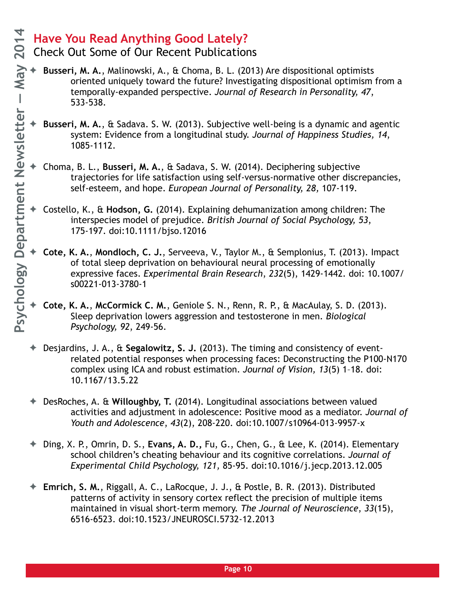- Check Out Some of Our Recent Publications
- ✦ **Busseri, M. A.**, Malinowski, A., & Choma, B. L. (2013) Are dispositional optimists oriented uniquely toward the future? Investigating dispositional optimism from a temporally-expanded perspective. *Journal of Research in Personality, 47*, 533-538.
- ✦ **Busseri, M. A.**, & Sadava. S. W. (2013). Subjective well-being is a dynamic and agentic system: Evidence from a longitudinal study. *Journal of Happiness Studies, 14*, 1085-1112.
- ✦ Choma, B. L., **Busseri, M. A.**, & Sadava, S. W. (2014). Deciphering subjective trajectories for life satisfaction using self-versus-normative other discrepancies, self-esteem, and hope. *European Journal of Personality, 28,* 107-119.
- ✦ Costello, K., & **Hodson, G.** (2014). Explaining dehumanization among children: The interspecies model of prejudice. *British Journal of Social Psychology, 53*, 175-197. doi:10.1111/bjso.12016
- ✦ **Cote, K. A.**, **Mondloch, C. J.**, Serveeva, V., Taylor M., & Semplonius, T. (2013). Impact of total sleep deprivation on behavioural neural processing of emotionally expressive faces. *Experimental Brain Research*, *232*(5), 1429-1442. doi: 10.1007/ s00221-013-3780-1
- ✦ **Cote, K. A.**, **McCormick C. M.**, Geniole S. N., Renn, R. P., & MacAulay, S. D. (2013). Sleep deprivation lowers aggression and testosterone in men. *Biological Psychology, 92*, 249-56.
- ✦ Desjardins, J. A., & **Segalowitz, S. J.** (2013). The timing and consistency of eventrelated potential responses when processing faces: Deconstructing the P100-N170 complex using ICA and robust estimation. *Journal of Vision, 13*(5) 1–18. doi: 10.1167/13.5.22
- ✦ DesRoches, A. & **Willoughby, T.** (2014). Longitudinal associations between valued activities and adjustment in adolescence: Positive mood as a mediator. *Journal of Youth and Adolescence*, *43*(2), 208-220. doi:10.1007/s10964-013-9957-x
- ✦ Ding, X. P., Omrin, D. S., **Evans, A. D.,** Fu, G., Chen, G., & Lee, K. (2014). Elementary school children's cheating behaviour and its cognitive correlations. *Journal of Experimental Child Psychology, 121,* 85-95. doi:10.1016/j.jecp.2013.12.005
- ✦ **Emrich, S. M.**, Riggall, A. C., LaRocque, J. J., & Postle, B. R. (2013). Distributed patterns of activity in sensory cortex reflect the precision of multiple items maintained in visual short-term memory. *The Journal of Neuroscience*, *33*(15), 6516-6523. doi:10.1523/JNEUROSCI.5732-12.2013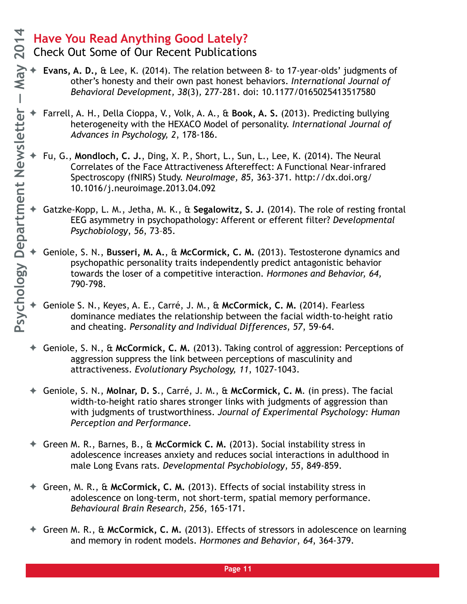- Check Out Some of Our Recent Publications
- ✦ **Evans, A. D.,** & Lee, K. (2014). The relation between 8- to 17-year-olds' judgments of other's honesty and their own past honest behaviors. *International Journal of Behavioral Development, 38*(3)*,* 277-281. doi: 10.1177/0165025413517580
- ✦ Farrell, A. H., Della Cioppa, V., Volk, A. A., & **Book, A. S.** (2013). Predicting bullying heterogeneity with the HEXACO Model of personality. *International Journal of Advances in Psychology, 2*, 178-186.
- ✦ Fu, G., **Mondloch, C. J.**, Ding, X. P., Short, L., Sun, L., Lee, K. (2014). The Neural Correlates of the Face Attractiveness Aftereffect: A Functional Near-infrared Spectroscopy (fNIRS) Study. *NeuroImage, 85,* 363-371*.* http://dx.doi.org/ 10.1016/j.neuroimage.2013.04.092
- ✦ Gatzke-Kopp, L. M., Jetha, M. K., & **Segalowitz, S. J.** (2014). The role of resting frontal EEG asymmetry in psychopathology: Afferent or efferent filter? *Developmental Psychobiology*, *56*, 73–85.
- ✦ Geniole, S. N., **Busseri, M. A.**, & **McCormick, C. M.** (2013). Testosterone dynamics and psychopathic personality traits independently predict antagonistic behavior towards the loser of a competitive interaction*. Hormones and Behavior, 64,*  790-798.
- ✦ Geniole S. N., Keyes, A. E., Carré, J. M., & **McCormick, C. M.** (2014). Fearless dominance mediates the relationship between the facial width-to-height ratio and cheating. *Personality and Individual Differences*, *57*, 59-64.
- ✦ Geniole, S. N., & **McCormick, C. M.** (2013). Taking control of aggression: Perceptions of aggression suppress the link between perceptions of masculinity and attractiveness. *Evolutionary Psychology, 11*, 1027-1043.
- ✦ Geniole, S. N., **Molnar, D. S**., Carré, J. M., & **McCormick, C. M**. (in press). The facial width-to-height ratio shares stronger links with judgments of aggression than with judgments of trustworthiness. *Journal of Experimental Psychology: Human Perception and Performance.*
- ✦ Green M. R., Barnes, B., & **McCormick C. M.** (2013). Social instability stress in adolescence increases anxiety and reduces social interactions in adulthood in male Long Evans rats. *Developmental Psychobiology*, *55*, 849-859.
- ✦ Green, M. R., & **McCormick, C. M.** (2013). Effects of social instability stress in adolescence on long-term, not short-term, spatial memory performance. *Behavioural Brain Research, 256*, 165-171.
- ✦ Green M. R., & **McCormick, C. M.** (2013). Effects of stressors in adolescence on learning and memory in rodent models. *Hormones and Behavior*, *64*, 364-379.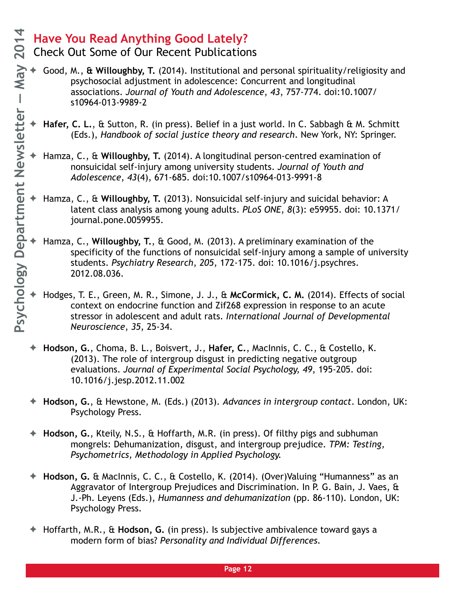- Check Out Some of Our Recent Publications
- ✦ Good, M., **& Willoughby, T.** (2014). Institutional and personal spirituality/religiosity and psychosocial adjustment in adolescence: Concurrent and longitudinal associations. *Journal of Youth and Adolescence*, *43*, 757-774. doi:10.1007/ s10964-013-9989-2
- ✦ **Hafer, C. L.**, & Sutton, R. (in press). Belief in a just world. In C. Sabbagh & M. Schmitt (Eds.), *Handbook of social justice theory and research*. New York, NY: Springer.
- ✦ Hamza, C., & **Willoughby, T.** (2014). A longitudinal person-centred examination of nonsuicidal self-injury among university students. *Journal of Youth and Adolescence*, *43*(4), 671-685. doi:10.1007/s10964-013-9991-8
- ✦ Hamza, C., & **Willoughby, T.** (2013). Nonsuicidal self-injury and suicidal behavior: A latent class analysis among young adults. *PLoS ONE*, *8*(3): e59955. doi: 10.1371/ journal.pone.0059955.
- ✦ Hamza, C., **Willoughby, T.**, & Good, M. (2013). A preliminary examination of the specificity of the functions of nonsuicidal self-injury among a sample of university students. *Psychiatry Research*, *205*, 172-175. doi: 10.1016/j.psychres. 2012.08.036.
- ✦ Hodges, T. E., Green, M. R., Simone, J. J., & **McCormick, C. M.** (2014). Effects of social context on endocrine function and Zif268 expression in response to an acute stressor in adolescent and adult rats. *International Journal of Developmental Neuroscience*, *35*, 25-34.
- ✦ **Hodson, G.**, Choma, B. L., Boisvert, J., **Hafer, C.**, MacInnis, C. C., & Costello, K. (2013). The role of intergroup disgust in predicting negative outgroup evaluations. *Journal of Experimental Social Psychology, 49*, 195-205. doi: 10.1016/j.jesp.2012.11.002
- ✦ **Hodson, G.**, & Hewstone, M. (Eds.) (2013). *Advances in intergroup contact*. London, UK: Psychology Press.
- ✦ **Hodson, G.**, Kteily, N.S., & Hoffarth, M.R. (in press). Of filthy pigs and subhuman mongrels: Dehumanization, disgust, and intergroup prejudice. *TPM: Testing, Psychometrics, Methodology in Applied Psychology.*
- ✦ **Hodson, G.** & MacInnis, C. C., & Costello, K. (2014). (Over)Valuing "Humanness" as an Aggravator of Intergroup Prejudices and Discrimination. In P. G. Bain, J. Vaes, & J.-Ph. Leyens (Eds.), *Humanness and dehumanization* (pp. 86-110)*.* London, UK: Psychology Press.
- ✦ Hoffarth, M.R., & **Hodson, G.** (in press). Is subjective ambivalence toward gays a modern form of bias? *Personality and Individual Differences.*

**Page 12**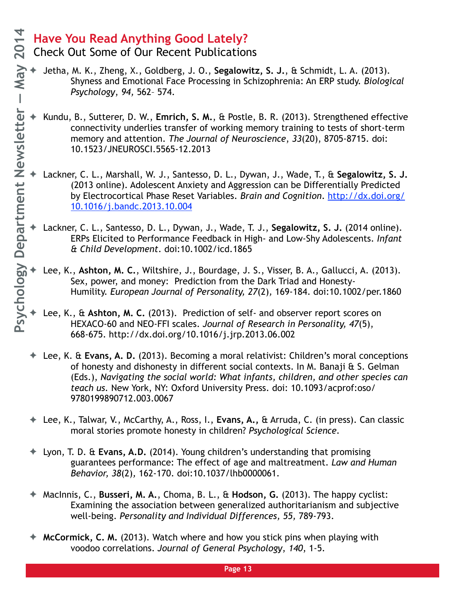#### **Have You Read Anything Good Lately?**  Check Out Some of Our Recent Publications

- ✦ Jetha, M. K., Zheng, X., Goldberg, J. O., **Segalowitz, S. J.**, & Schmidt, L. A. (2013). Shyness and Emotional Face Processing in Schizophrenia: An ERP study. *Biological Psychology*, *94,* 562– 574.
- ✦ Kundu, B., Sutterer, D. W., **Emrich, S. M.**, & Postle, B. R. (2013). Strengthened effective connectivity underlies transfer of working memory training to tests of short-term memory and attention. *The Journal of Neuroscience*, *33*(20), 8705-8715. doi: 10.1523/JNEUROSCI.5565-12.2013
- ✦ Lackner, C. L., Marshall, W. J., Santesso, D. L., Dywan, J., Wade, T., & **Segalowitz, S. J.** (2013 online). Adolescent Anxiety and Aggression can be Differentially Predicted [by Electrocortical Phase Reset Variables.](http://dx.doi.org/10.1016/j.bandc.2013.10.004%22%20%5Ct%20%22doilink) *Brain and Cognition*. http://dx.doi.org/ 10.1016/j.bandc.2013.10.004
- ✦ Lackner, C. L., Santesso, D. L., Dywan, J., Wade, T. J., **Segalowitz, S. J.** (2014 online). ERPs Elicited to Performance Feedback in High- and Low-Shy Adolescents. *Infant & Child Development*. doi:10.1002/icd.1865
- ✦ Lee, K., **Ashton, M. C.**, Wiltshire, J., Bourdage, J. S., Visser, B. A., Gallucci, A. (2013). Sex, power, and money: Prediction from the Dark Triad and Honesty-Humility. *European Journal of Personality, 27*(2)*,* 169-184. doi:10.1002/per.1860
- Lee, K., & Ashton, M. C. (2013). Prediction of self- and observer report scores on HEXACO-60 and NEO-FFI scales. *Journal of Research in Personality, 47*(5), 668-675. http://dx.doi.org/10.1016/j.jrp.2013.06.002
- ✦ Lee, K. & **Evans, A. D.** (2013). Becoming a moral relativist: Children's moral conceptions of honesty and dishonesty in different social contexts. In M. Banaji & S. Gelman (Eds.), *Navigating the social world: What infants, children, and other species can teach us.* New York, NY: Oxford University Press. doi: 10.1093/acprof:oso/ 9780199890712.003.0067
- ✦ Lee, K., Talwar, V., McCarthy, A., Ross, I., **Evans, A.,** & Arruda, C. (in press). Can classic moral stories promote honesty in children? *Psychological Science.*
- ✦ Lyon, T. D. & **Evans, A.D.** (2014). Young children's understanding that promising guarantees performance: The effect of age and maltreatment. *Law and Human Behavior, 38*(2)*,* 162-170. doi:10.1037/lhb0000061.
- ✦ MacInnis, C., **Busseri, M. A.**, Choma, B. L., & **Hodson, G.** (2013). The happy cyclist: Examining the association between generalized authoritarianism and subjective well-being. *Personality and Individual Differences, 55,* 789-793.
- ✦ **McCormick, C. M.** (2013). Watch where and how you stick pins when playing with voodoo correlations. *Journal of General Psychology*, *140*, 1-5.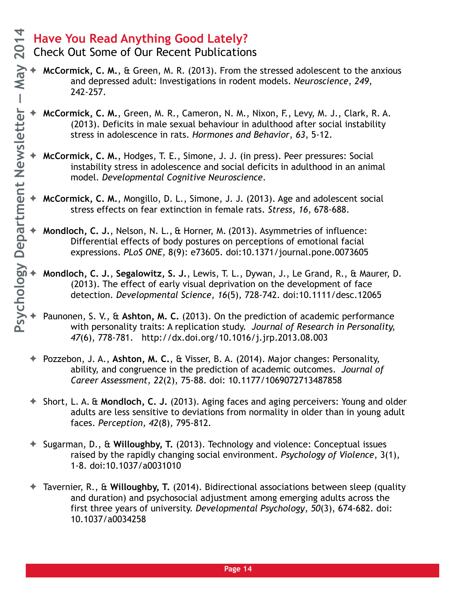#### **Have You Read Anything Good Lately?**  Check Out Some of Our Recent Publications

- 
- **McCormick, C. M., & Green, M. R. (2013). From the stressed adolescent to the anxious** and depressed adult: Investigations in rodent models. *Neuroscience*, *249*, 242-257.
- ✦ **McCormick, C. M.**, Green, M. R., Cameron, N. M., Nixon, F., Levy, M. J., Clark, R. A. (2013). Deficits in male sexual behaviour in adulthood after social instability stress in adolescence in rats. *Hormones and Behavior*, *63*, 5-12.
- ✦ **McCormick, C. M.**, Hodges, T. E., Simone, J. J. (in press). Peer pressures: Social instability stress in adolescence and social deficits in adulthood in an animal model. *Developmental Cognitive Neuroscience*.
- ✦ **McCormick, C. M.**, Mongillo, D. L., Simone, J. J. (2013). Age and adolescent social stress effects on fear extinction in female rats. *Stress*, *16*, 678-688.
- ✦ **Mondloch, C. J.**, Nelson, N. L., & Horner, M. (2013). Asymmetries of influence: Differential effects of body postures on perceptions of emotional facial expressions. *PLoS ONE,* 8(9): e73605. doi:10.1371/journal.pone.0073605
- ✦ **Mondloch, C. J.**, **Segalowitz, S. J.**, Lewis, T. L., Dywan, J., Le Grand, R., & Maurer, D. (2013). The effect of early visual deprivation on the development of face detection. *Developmental Science, 16*(5)*,* 728-742. doi:10.1111/desc.12065
- ✦ Paunonen, S. V., & **Ashton, M. C.** (2013). On the prediction of academic performance with personality traits: A replication study. *Journal of Research in Personality, 47*(6), 778-781. http://dx.doi.org/10.1016/j.jrp.2013.08.003
- ✦ Pozzebon, J. A., **Ashton, M. C.**, & Visser, B. A. (2014). Major changes: Personality, ability, and congruence in the prediction of academic outcomes. *Journal of Career Assessment, 22*(2), 75-88. doi: 10.1177/1069072713487858
- ✦ Short, L. A. & **Mondloch, C. J.** (2013). Aging faces and aging perceivers: Young and older adults are less sensitive to deviations from normality in older than in young adult faces. *Perception, 42*(8)*,* 795-812*.*
- ✦ Sugarman, D., & **Willoughby, T.** (2013). Technology and violence: Conceptual issues raised by the rapidly changing social environment. *Psychology of Violence*, 3(1), 1-8. doi:10.1037/a0031010
- ✦ Tavernier, R., & **Willoughby, T.** (2014). Bidirectional associations between sleep (quality and duration) and psychosocial adjustment among emerging adults across the first three years of university. *Developmental Psychology*, *50*(3), 674-682. doi: 10.1037/a0034258